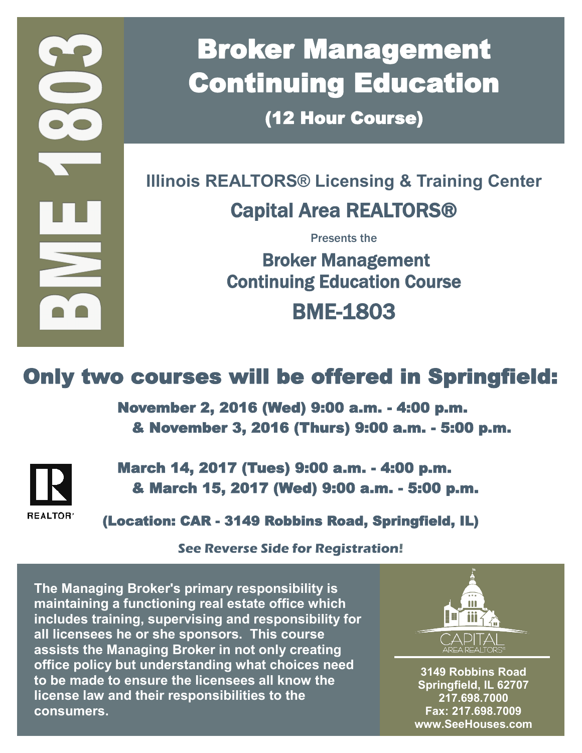# Broker Management Continuing Education

(12 Hour Course)

### **Illinois REALTORS® Licensing & Training Center**  Capital Area REALTORS®

Presents the

 Broker Management Continuing Education Course BME-1803

## Only two courses will be offered in Springfield:

 November 2, 2016 (Wed) 9:00 a.m. - 4:00 p.m. & November 3, 2016 (Thurs) 9:00 a.m. - 5:00 p.m.



 March 14, 2017 (Tues) 9:00 a.m. - 4:00 p.m. & March 15, 2017 (Wed) 9:00 a.m. - 5:00 p.m.

(Location: CAR - 3149 Robbins Road, Springfield, IL)

**See Reverse Side for Registration!**

**The Managing Broker's primary responsibility is maintaining a functioning real estate office which includes training, supervising and responsibility for all licensees he or she sponsors. This course assists the Managing Broker in not only creating office policy but understanding what choices need to be made to ensure the licensees all know the license law and their responsibilities to the consumers.**



**3149 Robbins Road Springfield, IL 62707 217.698.7000 Fax: 217.698.7009 www.SeeHouses.com**